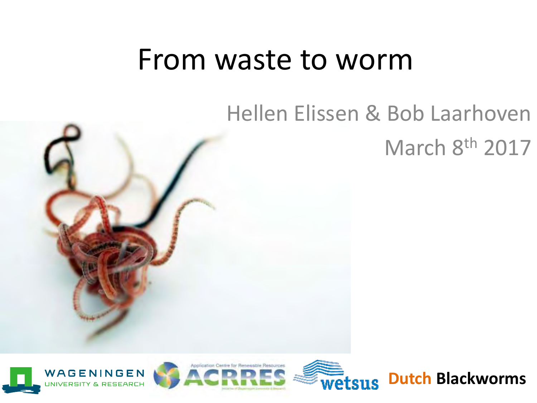### From waste to worm

# Hellen Elissen & Bob Laarhoven March 8th 2017







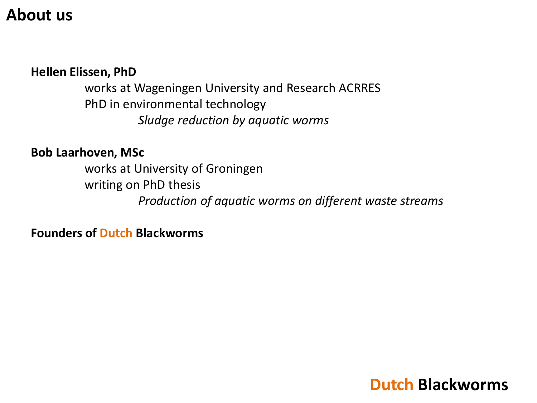#### **About us**

#### **Hellen Elissen, PhD**

 works at Wageningen University and Research ACRRES PhD in environmental technology *Sludge reduction by aquatic worms* 

#### **Bob Laarhoven, MSc**

 works at University of Groningen writing on PhD thesis *Production of aquatic worms on different waste streams* 

**Founders of Dutch Blackworms**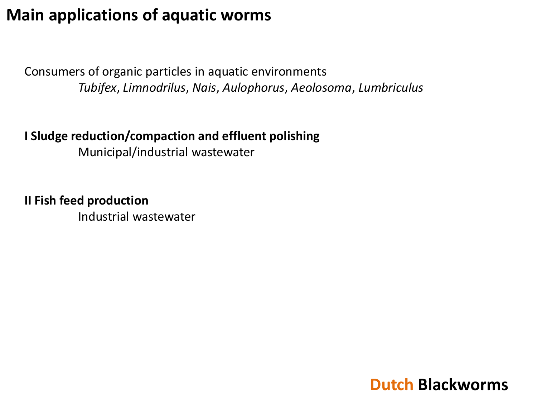#### **Main applications of aquatic worms**

Consumers of organic particles in aquatic environments *Tubifex*, *Limnodrilus*, *Nais*, *Aulophorus*, *Aeolosoma*, *Lumbriculus*

#### **I Sludge reduction/compaction and effluent polishing**  Municipal/industrial wastewater

**II Fish feed production**  Industrial wastewater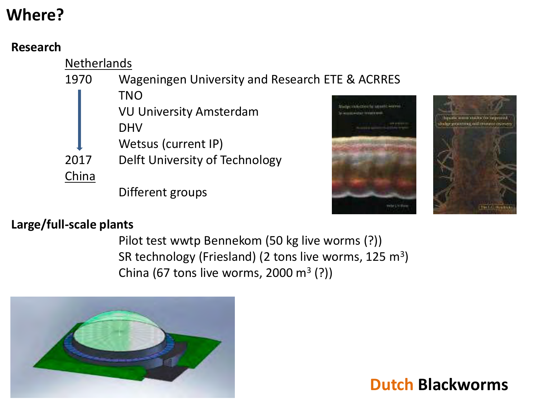#### **Where?**

#### **Research**





#### **Large/full-scale plants**

 Pilot test wwtp Bennekom (50 kg live worms (?)) SR technology (Friesland) (2 tons live worms,  $125 \text{ m}^3$ ) China (67 tons live worms, 2000  $m^3$  (?))

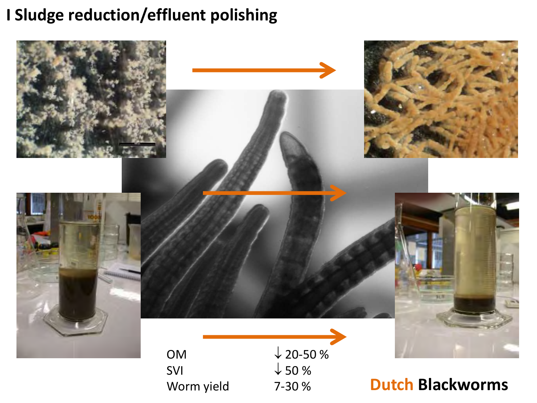#### **I Sludge reduction/effluent polishing**

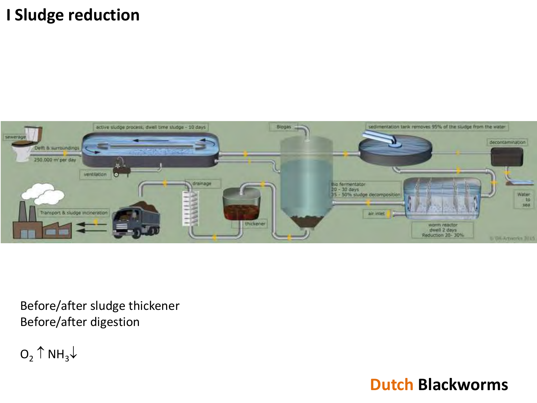#### **I Sludge reduction**



Before/after sludge thickener Before/after digestion

 $O_2 \uparrow NH_3 \downarrow$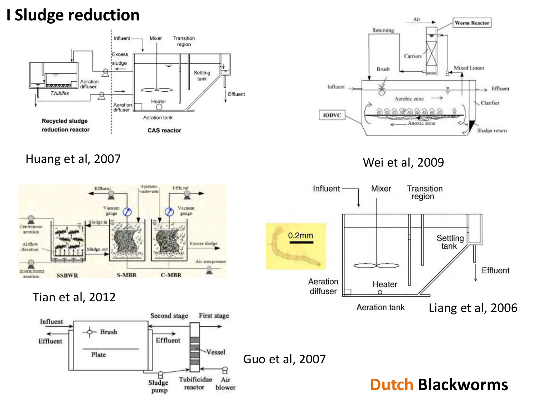#### **I Sludge reduction**



Huang et al, 2007



#### Tian et al, 2012





Wei et al, 2009

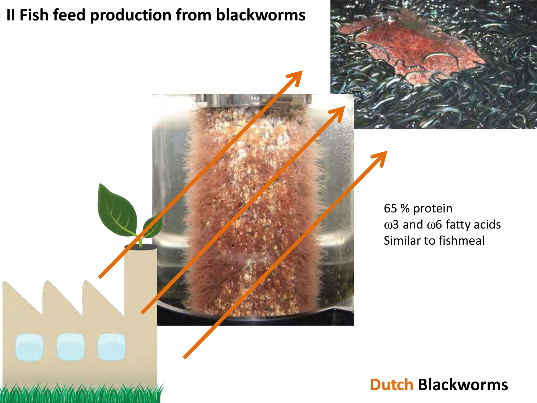#### **II Fish feed production from blackworms**



65 % protein  $\omega$ 3 and  $\omega$ 6 fatty acids Similar to fishmeal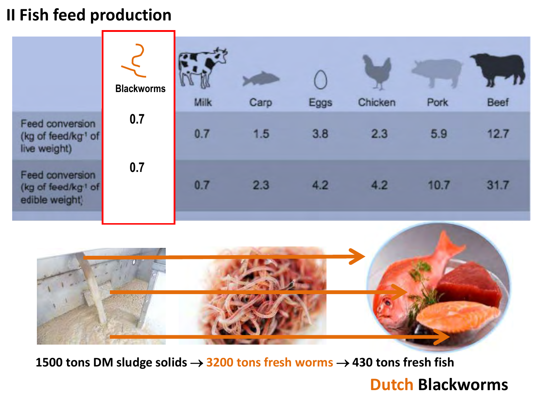#### **II Fish feed production**

|                                                                     | <b>Blackworms</b> | Milk | Carp | Eggs | Chicken | Pork | <b>Beef</b> |
|---------------------------------------------------------------------|-------------------|------|------|------|---------|------|-------------|
| Feed conversion<br>(kg of feed/kg <sup>1</sup> of<br>live weight)   | 0.7               | 0.7  | 1.5  | 3.8  | 2.3     | 5.9  | 12.7        |
| Feed conversion<br>(kg of feed/kg <sup>1</sup> of<br>edible weight) | 0.7               | 0.7  | 2.3  | 4.2  | 4.2     | 10.7 | 31.7        |



**1500 tons DM sludge solids → 3200 tons fresh worms → 430 tons fresh fish**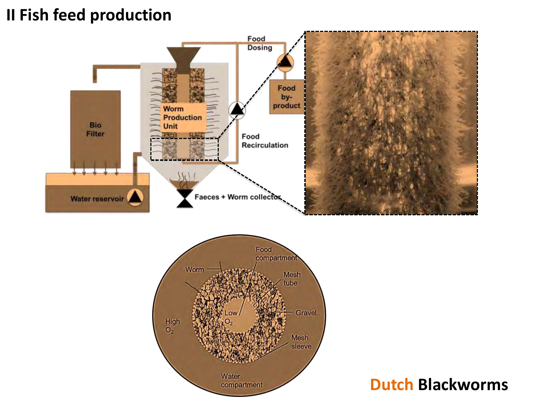#### **II Fish feed production**



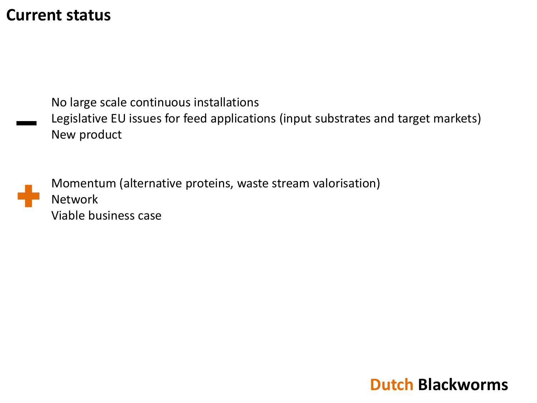#### **Current status**

No large scale continuous installations Legislative EU issues for feed applications (input substrates and target markets) New product

Momentum (alternative proteins, waste stream valorisation) Network Viable business case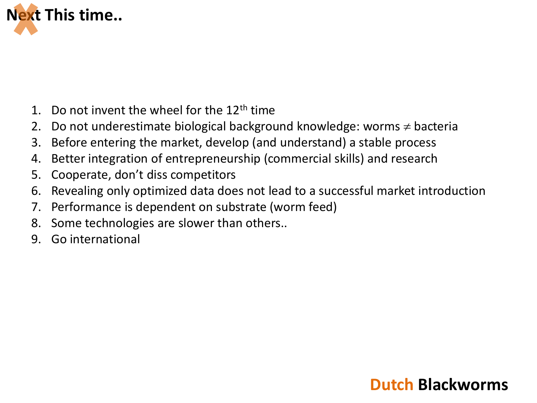

- 1. Do not invent the wheel for the  $12<sup>th</sup>$  time
- 2. Do not underestimate biological background knowledge: worms  $\neq$  bacteria
- 3. Before entering the market, develop (and understand) a stable process
- 4. Better integration of entrepreneurship (commercial skills) and research
- 5. Cooperate, don't diss competitors
- 6. Revealing only optimized data does not lead to a successful market introduction
- 7. Performance is dependent on substrate (worm feed)
- 8. Some technologies are slower than others..
- 9. Go international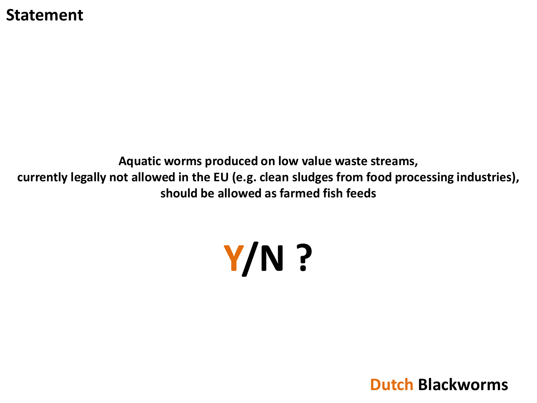#### **Statement**

**Aquatic worms produced on low value waste streams, currently legally not allowed in the EU (e.g. clean sludges from food processing industries), should be allowed as farmed fish feeds** 

# **Y/N ?**